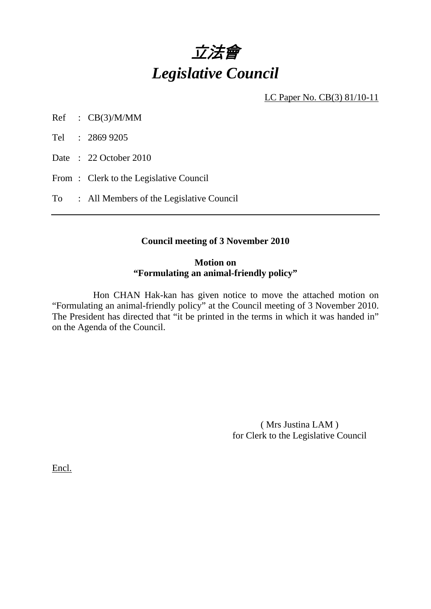

LC Paper No. CB(3) 81/10-11

Ref : CB(3)/M/MM

Tel : 2869 9205

Date: 22 October 2010

From: Clerk to the Legislative Council

To : All Members of the Legislative Council

### **Council meeting of 3 November 2010**

### **Motion on "Formulating an animal-friendly policy"**

 Hon CHAN Hak-kan has given notice to move the attached motion on "Formulating an animal-friendly policy" at the Council meeting of 3 November 2010. The President has directed that "it be printed in the terms in which it was handed in" on the Agenda of the Council.

> ( Mrs Justina LAM ) for Clerk to the Legislative Council

Encl.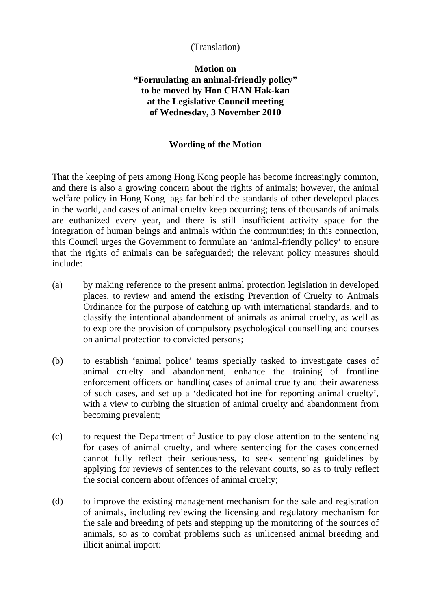# (Translation)

# **Motion on "Formulating an animal-friendly policy" to be moved by Hon CHAN Hak-kan at the Legislative Council meeting of Wednesday, 3 November 2010**

### **Wording of the Motion**

That the keeping of pets among Hong Kong people has become increasingly common, and there is also a growing concern about the rights of animals; however, the animal welfare policy in Hong Kong lags far behind the standards of other developed places in the world, and cases of animal cruelty keep occurring; tens of thousands of animals are euthanized every year, and there is still insufficient activity space for the integration of human beings and animals within the communities; in this connection, this Council urges the Government to formulate an 'animal-friendly policy' to ensure that the rights of animals can be safeguarded; the relevant policy measures should include:

- (a) by making reference to the present animal protection legislation in developed places, to review and amend the existing Prevention of Cruelty to Animals Ordinance for the purpose of catching up with international standards, and to classify the intentional abandonment of animals as animal cruelty, as well as to explore the provision of compulsory psychological counselling and courses on animal protection to convicted persons;
- (b) to establish 'animal police' teams specially tasked to investigate cases of animal cruelty and abandonment, enhance the training of frontline enforcement officers on handling cases of animal cruelty and their awareness of such cases, and set up a 'dedicated hotline for reporting animal cruelty', with a view to curbing the situation of animal cruelty and abandonment from becoming prevalent;
- (c) to request the Department of Justice to pay close attention to the sentencing for cases of animal cruelty, and where sentencing for the cases concerned cannot fully reflect their seriousness, to seek sentencing guidelines by applying for reviews of sentences to the relevant courts, so as to truly reflect the social concern about offences of animal cruelty;
- (d) to improve the existing management mechanism for the sale and registration of animals, including reviewing the licensing and regulatory mechanism for the sale and breeding of pets and stepping up the monitoring of the sources of animals, so as to combat problems such as unlicensed animal breeding and illicit animal import;